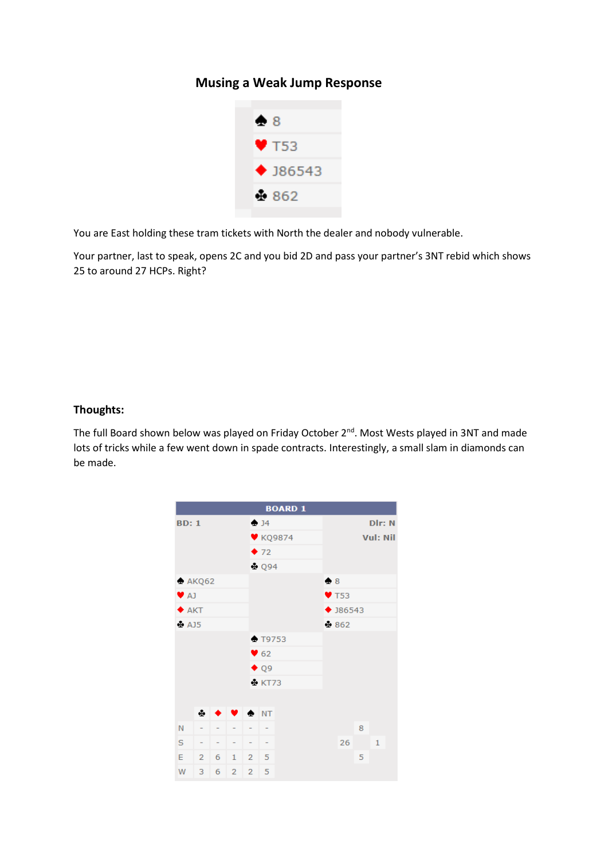## **Musing a Weak Jump Response**



You are East holding these tram tickets with North the dealer and nobody vulnerable.

Your partner, last to speak, opens 2C and you bid 2D and pass your partner's 3NT rebid which shows 25 to around 27 HCPs. Right?

## **Thoughts:**

The full Board shown below was played on Friday October 2<sup>nd</sup>. Most Wests played in 3NT and made lots of tricks while a few went down in spade contracts. Interestingly, a small slam in diamonds can be made.